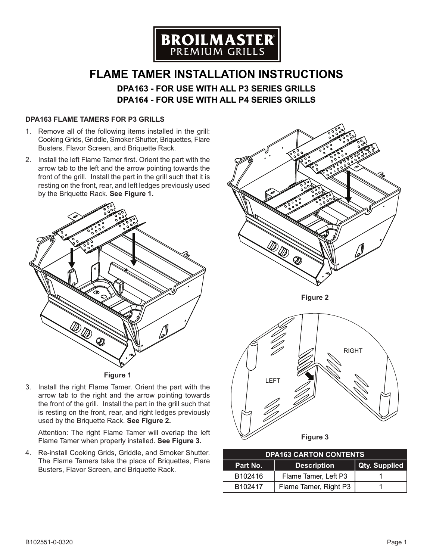

# **FLAME TAMER INSTALLATION INSTRUCTIONS DPA163 - FOR USE WITH ALL P3 SERIES GRILLS**

**DPA164 - FOR USE WITH ALL P4 SERIES GRILLS**

## **DPA163 FLAME TAMERS FOR P3 GRILLS**

- 1. Remove all of the following items installed in the grill: Cooking Grids, Griddle, Smoker Shutter, Briquettes, Flare Busters, Flavor Screen, and Briquette Rack.
- 2. Install the left Flame Tamer first. Orient the part with the arrow tab to the left and the arrow pointing towards the front of the grill. Install the part in the grill such that it is resting on the front, rear, and left ledges previously used by the Briquette Rack. **See Figure 1.**





3. Install the right Flame Tamer. Orient the part with the arrow tab to the right and the arrow pointing towards the front of the grill. Install the part in the grill such that is resting on the front, rear, and right ledges previously used by the Briquette Rack. **See Figure 2.**

Attention: The right Flame Tamer will overlap the left Flame Tamer when properly installed. **See Figure 3.**

4. Re-install Cooking Grids, Griddle, and Smoker Shutter. The Flame Tamers take the place of Briquettes, Flare Busters, Flavor Screen, and Briquette Rack.



| <b>DPA163 CARTON CONTENTS</b> |                       |                      |  |
|-------------------------------|-----------------------|----------------------|--|
| Part No.                      | <b>Description</b>    | <b>Qty. Supplied</b> |  |
| B <sub>102416</sub>           | Flame Tamer, Left P3  |                      |  |
| B <sub>102417</sub>           | Flame Tamer, Right P3 |                      |  |